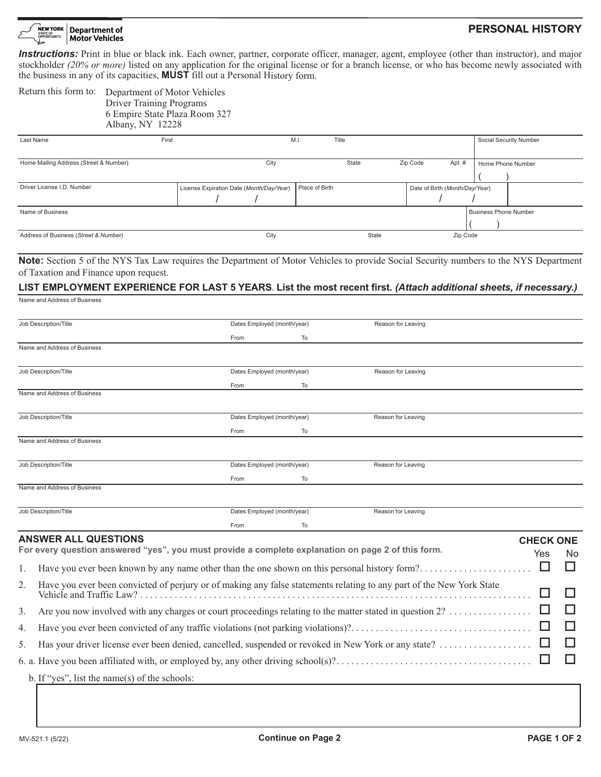#### NEW YORK **Department of** STATE OF<br>OPPORTUNITY. Motor Vehicles

# **PERSONAL HISTORY**

*Instructions:* Print in blue or black ink. Each owner, partner, corporate officer, manager, agent, employee (other than instructor), and major stockholder *(20% or more)* listed on any application for the original license or for a branch license, or who has become newly associated with the business in any of its capacities, **MUST** fill out a Personal History form.

|                                                                                                           |                                                                                                                                                       | Return this form to: Department of Motor Vehicles<br><b>Driver Training Programs</b><br>6 Empire State Plaza Room 327<br>Albany, NY 12228                                                                                                                          |                                           |                                                          |                    |                                   |                          |                                                            |                              |                         |     |
|-----------------------------------------------------------------------------------------------------------|-------------------------------------------------------------------------------------------------------------------------------------------------------|--------------------------------------------------------------------------------------------------------------------------------------------------------------------------------------------------------------------------------------------------------------------|-------------------------------------------|----------------------------------------------------------|--------------------|-----------------------------------|--------------------------|------------------------------------------------------------|------------------------------|-------------------------|-----|
|                                                                                                           | Last Name                                                                                                                                             | First                                                                                                                                                                                                                                                              |                                           |                                                          | M.I.<br>Title      |                                   |                          |                                                            |                              | Social Security Number  |     |
|                                                                                                           | Home Mailing Address (Street & Number)                                                                                                                |                                                                                                                                                                                                                                                                    |                                           | City                                                     |                    | State<br>$\overline{\phantom{0}}$ | Zip Code                 | Apt. #                                                     | Home Phone Number            |                         |     |
|                                                                                                           | Driver License I.D. Number                                                                                                                            |                                                                                                                                                                                                                                                                    | $\vert \mathbf{v} \vert$                  | License Expiration Date (Month/Day/Year)<br>$\mathbf{r}$ | Place of Birth     |                                   | $\blacktriangledown$     | Date of Birth (Month/Day/Year)<br>$\vert \mathbf{v} \vert$ |                              |                         |     |
|                                                                                                           | Name of Business                                                                                                                                      |                                                                                                                                                                                                                                                                    |                                           |                                                          |                    |                                   |                          |                                                            | <b>Business Phone Number</b> |                         |     |
| Address of Business (Street & Number)                                                                     |                                                                                                                                                       |                                                                                                                                                                                                                                                                    |                                           | City                                                     |                    | State                             | $\overline{\phantom{0}}$ | Zip Code                                                   |                              |                         |     |
|                                                                                                           | of Taxation and Finance upon request.<br>Name and Address of Business                                                                                 | <b>Note:</b> Section 5 of the NYS Tax Law requires the Department of Motor Vehicles to provide Social Security numbers to the NYS Department<br>LIST EMPLOYMENT EXPERIENCE FOR LAST 5 YEARS. List the most recent first. (Attach additional sheets, if necessary.) |                                           |                                                          |                    |                                   |                          |                                                            |                              |                         |     |
| Job Description/Title                                                                                     |                                                                                                                                                       |                                                                                                                                                                                                                                                                    | Dates Employed (month/year)               |                                                          | Reason for Leaving |                                   |                          |                                                            |                              |                         |     |
|                                                                                                           | Name and Address of Business                                                                                                                          |                                                                                                                                                                                                                                                                    |                                           | From                                                     | To                 |                                   |                          |                                                            |                              |                         |     |
|                                                                                                           | Job Description/Title                                                                                                                                 |                                                                                                                                                                                                                                                                    |                                           | Dates Employed (month/year)<br>From                      | To                 |                                   | Reason for Leaving       |                                                            |                              |                         |     |
|                                                                                                           | Name and Address of Business                                                                                                                          |                                                                                                                                                                                                                                                                    |                                           |                                                          |                    |                                   |                          |                                                            |                              |                         |     |
| Job Description/Title                                                                                     |                                                                                                                                                       |                                                                                                                                                                                                                                                                    | Dates Employed (month/year)<br>From<br>To |                                                          | Reason for Leaving |                                   |                          |                                                            |                              |                         |     |
|                                                                                                           | Name and Address of Business                                                                                                                          |                                                                                                                                                                                                                                                                    |                                           |                                                          |                    |                                   |                          |                                                            |                              |                         |     |
|                                                                                                           | Job Description/Title                                                                                                                                 |                                                                                                                                                                                                                                                                    |                                           | Dates Employed (month/year)<br>From                      | To                 |                                   | Reason for Leaving       |                                                            |                              |                         |     |
|                                                                                                           | Name and Address of Business                                                                                                                          |                                                                                                                                                                                                                                                                    |                                           |                                                          |                    |                                   |                          |                                                            |                              |                         |     |
|                                                                                                           | Job Description/Title                                                                                                                                 |                                                                                                                                                                                                                                                                    |                                           | Dates Employed (month/year)<br>From                      | To                 |                                   | Reason for Leaving       |                                                            |                              |                         |     |
|                                                                                                           | <b>ANSWER ALL QUESTIONS</b>                                                                                                                           | For every question answered "yes", you must provide a complete explanation on page 2 of this form.                                                                                                                                                                 |                                           |                                                          |                    |                                   |                          |                                                            |                              | <b>CHECK ONE</b><br>Yes | No. |
| 1.                                                                                                        | □<br>□<br>Have you ever been known by any name other than the one shown on this personal history form?                                                |                                                                                                                                                                                                                                                                    |                                           |                                                          |                    |                                   |                          |                                                            |                              |                         |     |
| 2.                                                                                                        | Have you ever been convicted of perjury or of making any false statements relating to any part of the New York State<br>ப<br>Vehicle and Traffic Law? |                                                                                                                                                                                                                                                                    |                                           |                                                          |                    |                                   |                          |                                                            |                              |                         |     |
| 3.                                                                                                        | Are you now involved with any charges or court proceedings relating to the matter stated in question 2?<br>□                                          |                                                                                                                                                                                                                                                                    |                                           |                                                          |                    |                                   |                          |                                                            |                              |                         |     |
| 4.                                                                                                        | □                                                                                                                                                     |                                                                                                                                                                                                                                                                    |                                           |                                                          |                    |                                   |                          |                                                            |                              |                         |     |
| Has your driver license ever been denied, cancelled, suspended or revoked in New York or any state?<br>5. |                                                                                                                                                       |                                                                                                                                                                                                                                                                    |                                           |                                                          |                    |                                   |                          |                                                            |                              | ப                       |     |
|                                                                                                           | ப                                                                                                                                                     |                                                                                                                                                                                                                                                                    |                                           |                                                          |                    |                                   |                          |                                                            |                              |                         |     |

b. If "yes", list the name(s) of the schools: